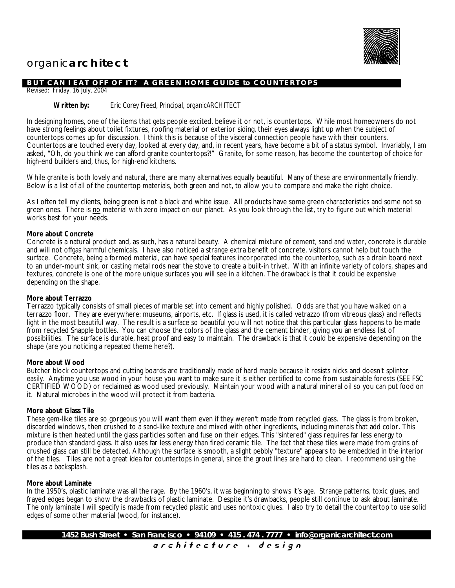

# organic**architect**

# **BUT CAN I EAT OFF OF IT? A GREEN HOME GUIDE to COUNTERTOPS**

Revised: Friday, 16 July, 2004

#### **Written by:** *Eric Corey Freed, Principal, organicARCHITECT*

In designing homes, one of the items that gets people excited, believe it or not, is countertops. While most homeowners do not have strong feelings about toilet fixtures, roofing material or exterior siding, their eyes always light up when the subject of countertops comes up for discussion. I think this is because of the visceral connection people have with their counters. Countertops are touched every day, looked at every day, and, in recent years, have become a bit of a status symbol. Invariably, I am asked, "Oh, do you think we can afford granite countertops?!" Granite, for some reason, has become the countertop of choice for high-end builders and, thus, for high-end kitchens.

While granite is both lovely and natural, there are many alternatives equally beautiful. Many of these are environmentally friendly. Below is a list of all of the countertop materials, both green and not, to allow you to compare and make the right choice.

As I often tell my clients, being green is not a black and white issue. All products have some green characteristics and some not so green ones. There is no material with zero impact on our planet. As you look through the list, try to figure out which material works best for your needs.

#### **More about Concrete**

Concrete is a natural product and, as such, has a natural beauty. A chemical mixture of cement, sand and water, concrete is durable and will not offgas harmful chemicals. I have also noticed a strange extra benefit of concrete, visitors cannot help but touch the surface. Concrete, being a formed material, can have special features incorporated into the countertop, such as a drain board next to an under-mount sink, or casting metal rods near the stove to create a built-in trivet. With an infinite variety of colors, shapes and textures, concrete is one of the more unique surfaces you will see in a kitchen. The drawback is that it could be expensive depending on the shape.

#### **More about Terrazzo**

Terrazzo typically consists of small pieces of marble set into cement and highly polished. Odds are that you have walked on a terrazzo floor. They are everywhere: museums, airports, etc. If glass is used, it is called vetrazzo (from vitreous glass) and reflects light in the most beautiful way. The result is a surface so beautiful you will not notice that this particular glass happens to be made from recycled Snapple bottles. You can choose the colors of the glass and the cement binder, giving you an endless list of possibilities. The surface is durable, heat proof and easy to maintain. The drawback is that it could be expensive depending on the shape (are you noticing a repeated theme here?).

#### **More about Wood**

Butcher block countertops and cutting boards are traditionally made of hard maple because it resists nicks and doesn't splinter easily. Anytime you use wood in your house you want to make sure it is either certified to come from sustainable forests (SEE FSC CERTIFIED WOOD) or reclaimed as wood used previously. Maintain your wood with a natural mineral oil so you can put food on it. Natural microbes in the wood will protect it from bacteria.

#### **More about Glass Tile**

These gem-like tiles are so gorgeous you will want them even if they weren't made from recycled glass. The glass is from broken, discarded windows, then crushed to a sand-like texture and mixed with other ingredients, including minerals that add color. This mixture is then heated until the glass particles soften and fuse on their edges. This "sintered" glass requires far less energy to produce than standard glass. It also uses far less energy than fired ceramic tile. The fact that these tiles were made from grains of crushed glass can still be detected. Although the surface is smooth, a slight pebbly "texture" appears to be embedded in the interior of the tiles. Tiles are not a great idea for countertops in general, since the grout lines are hard to clean. I recommend using the tiles as a backsplash.

#### **More about Laminate**

In the 1950's, plastic laminate was all the rage. By the 1960's, it was beginning to shows it's age. Strange patterns, toxic glues, and frayed edges began to show the drawbacks of plastic laminate. Despite it's drawbacks, people still continue to ask about laminate. The only laminate I will specify is made from recycled plastic and uses nontoxic glues. I also try to detail the countertop to use solid edges of some other material (wood, for instance).

a r c h i t e c t u r e + d e s i g n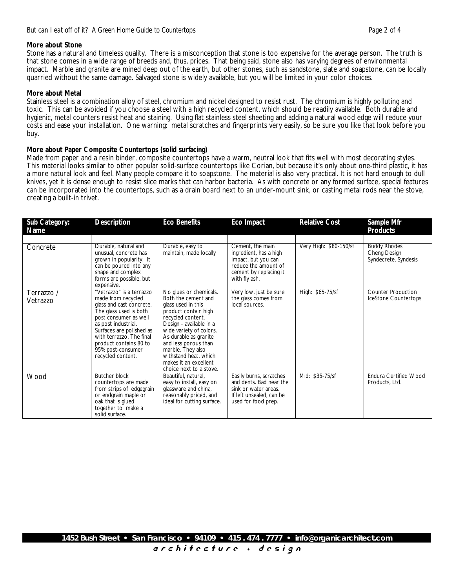# **More about Stone**

Stone has a natural and timeless quality. There is a misconception that stone is too expensive for the average person. The truth is that stone comes in a wide range of breeds and, thus, prices. That being said, stone also has varying degrees of environmental impact. Marble and granite are mined deep out of the earth, but other stones, such as sandstone, slate and soapstone, can be locally quarried without the same damage. Salvaged stone is widely available, but you will be limited in your color choices.

# **More about Metal**

Stainless steel is a combination alloy of steel, chromium and nickel designed to resist rust. The chromium is highly polluting and toxic. This can be avoided if you choose a steel with a high recycled content, which should be readily available. Both durable and hygienic, metal counters resist heat and staining. Using flat stainless steel sheeting and adding a natural wood edge will reduce your costs and ease your installation. One warning: metal scratches and fingerprints very easily, so be sure you like that look before you buy.

# **More about Paper Composite Countertops (solid surfacing)**

Made from paper and a resin binder, composite countertops have a warm, neutral look that fits well with most decorating styles. This material looks similar to other popular solid-surface countertops like Corian, but because it's only about one-third plastic, it has a more natural look and feel. Many people compare it to soapstone. The material is also very practical. It is not hard enough to dull knives, yet it is dense enough to resist slice marks that can harbor bacteria. As with concrete or any formed surface, special features can be incorporated into the countertops, such as a drain board next to an under-mount sink, or casting metal rods near the stove, creating a built-in trivet.

| Sub Category:<br>Name  | Description                                                                                                                                                                                                                                                                      | Eco Benefits                                                                                                                                                                                                                                                                                                              | Eco Impact                                                                                                                           | <b>Relative Cost</b>   | Sample Mfr<br><b>Products</b>                               |
|------------------------|----------------------------------------------------------------------------------------------------------------------------------------------------------------------------------------------------------------------------------------------------------------------------------|---------------------------------------------------------------------------------------------------------------------------------------------------------------------------------------------------------------------------------------------------------------------------------------------------------------------------|--------------------------------------------------------------------------------------------------------------------------------------|------------------------|-------------------------------------------------------------|
|                        |                                                                                                                                                                                                                                                                                  |                                                                                                                                                                                                                                                                                                                           |                                                                                                                                      |                        |                                                             |
| Concrete               | Durable, natural and<br>unusual, concrete has<br>grown in popularity. It<br>can be poured into any<br>shape and complex<br>forms are possible, but<br>expensive.                                                                                                                 | Durable, easy to<br>maintain, made locally                                                                                                                                                                                                                                                                                | Cement, the main<br>ingredient, has a high<br>impact, but you can<br>reduce the amount of<br>cement by replacing it<br>with fly ash. | Very High: \$80-150/sf | <b>Buddy Rhodes</b><br>Cheng Design<br>Syndecrete, Syndesis |
| Terrazzo /<br>Vetrazzo | "Vetrazzo" is a terrazzo<br>made from recycled<br>glass and cast concrete.<br>The glass used is both<br>post consumer as well<br>as post industrial.<br>Surfaces are polished as<br>with terrazzo. The final<br>product contains 80 to<br>95% post-consumer<br>recycled content. | No glues or chemicals.<br>Both the cement and<br>glass used in this<br>product contain high<br>recycled content.<br>Design - available in a<br>wide variety of colors.<br>As durable as granite<br>and less porous than<br>marble. They also<br>withstand heat, which<br>makes it an excellent<br>choice next to a stove. | Very low, just be sure<br>the glass comes from<br>local sources.                                                                     | High: \$65-75/sf       | <b>Counter Production</b><br>IceStone Countertops           |
| Wood                   | <b>Butcher block</b><br>countertops are made<br>from strips of edgegrain<br>or endgrain maple or<br>oak that is glued<br>together to make a<br>solid surface.                                                                                                                    | Beautiful, natural,<br>easy to install, easy on<br>glassware and china,<br>reasonably priced, and<br>ideal for cutting surface.                                                                                                                                                                                           | Easily burns, scratches<br>and dents. Bad near the<br>sink or water areas.<br>If left unsealed, can be<br>used for food prep.        | Mid: \$35-75/sf        | <b>Endura Certified Wood</b><br>Products, Ltd.              |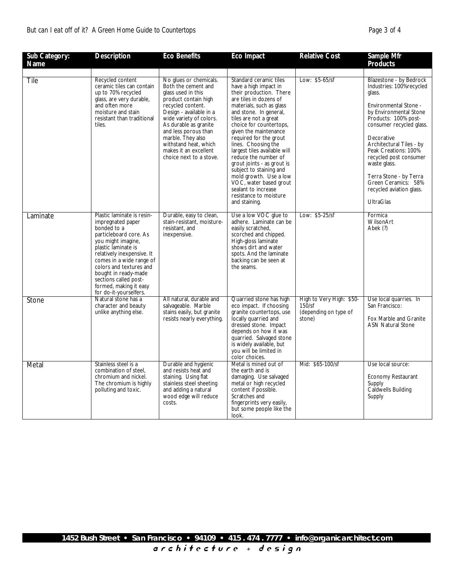# *But can I eat off of it? A Green Home Guide to Countertops Page 3 of 4*

| Sub Category:<br>Name | Description                                                                                                                                                                                                                                                                                                                     | <b>Eco Benefits</b>                                                                                                                                                                                                                                                                                                       | Eco Impact                                                                                                                                                                                                                                                                                                                                                                                                                                                                                                                      | <b>Relative Cost</b>                                                  | Sample Mfr<br>Products                                                                                                                                                                                                                                                                                                                                                            |
|-----------------------|---------------------------------------------------------------------------------------------------------------------------------------------------------------------------------------------------------------------------------------------------------------------------------------------------------------------------------|---------------------------------------------------------------------------------------------------------------------------------------------------------------------------------------------------------------------------------------------------------------------------------------------------------------------------|---------------------------------------------------------------------------------------------------------------------------------------------------------------------------------------------------------------------------------------------------------------------------------------------------------------------------------------------------------------------------------------------------------------------------------------------------------------------------------------------------------------------------------|-----------------------------------------------------------------------|-----------------------------------------------------------------------------------------------------------------------------------------------------------------------------------------------------------------------------------------------------------------------------------------------------------------------------------------------------------------------------------|
|                       |                                                                                                                                                                                                                                                                                                                                 |                                                                                                                                                                                                                                                                                                                           |                                                                                                                                                                                                                                                                                                                                                                                                                                                                                                                                 |                                                                       |                                                                                                                                                                                                                                                                                                                                                                                   |
| Tile                  | Recycled content<br>ceramic tiles can contain<br>up to 70% recycled<br>glass, are very durable,<br>and often more<br>moisture and stain<br>resistant than traditional<br>tiles.                                                                                                                                                 | No glues or chemicals.<br>Both the cement and<br>glass used in this<br>product contain high<br>recycled content.<br>Design - available in a<br>wide variety of colors.<br>As durable as granite<br>and less porous than<br>marble. They also<br>withstand heat, which<br>makes it an excellent<br>choice next to a stove. | Standard ceramic tiles<br>have a high impact in<br>their production. There<br>are tiles in dozens of<br>materials, such as glass<br>and stone. In general,<br>tiles are not a great<br>choice for countertops,<br>given the maintenance<br>required for the grout<br>lines. Choosing the<br>largest tiles available will<br>reduce the number of<br>grout joints - as grout is<br>subject to staining and<br>mold growth. Use a low<br>VOC, water based grout<br>sealant to increase<br>resistance to moisture<br>and staining. | Low: \$5-65/sf                                                        | Blazestone - by Bedrock<br>Industries: 100%recycled<br>glass.<br>Environmental Stone -<br>by Environmental Stone<br>Products: 100% post-<br>consumer recycled glass.<br>Decorative<br>Architectural Tiles - by<br>Peak Creations: 100%<br>recycled post consumer<br>waste glass.<br>Terra Stone - by Terra<br>Green Ceramics: 58%<br>recycled aviation glass.<br><b>UltraGlas</b> |
| Laminate              | Plastic laminate is resin-<br>impregnated paper<br>bonded to a<br>particleboard core. As<br>you might imagine,<br>plastic laminate is<br>relatively inexpensive. It<br>comes in a wide range of<br>colors and textures and<br>bought in ready-made<br>sections called post-<br>formed, making it easy<br>for do-it-yourselfers. | Durable, easy to clean,<br>stain-resistant, moisture-<br>resistant, and<br>inexpensive.                                                                                                                                                                                                                                   | Use a low VOC glue to<br>adhere. Laminate can be<br>easily scratched,<br>scorched and chipped.<br>High-gloss laminate<br>shows dirt and water<br>spots. And the laminate<br>backing can be seen at<br>the seams.                                                                                                                                                                                                                                                                                                                | Low: \$5-25/sf                                                        | Formica<br>WilsonArt<br>Abek (?)                                                                                                                                                                                                                                                                                                                                                  |
| Stone                 | Natural stone has a<br>character and beauty<br>unlike anything else.                                                                                                                                                                                                                                                            | All natural, durable and<br>salvageable. Marble<br>stains easily, but granite<br>resists nearly everything.                                                                                                                                                                                                               | Quarried stone has high<br>eco impact. If choosing<br>granite countertops, use<br>locally quarried and<br>dressed stone. Impact<br>depends on how it was<br>quarried. Salvaged stone<br>is widely available, but<br>you will be limited in<br>color choices.                                                                                                                                                                                                                                                                    | High to Very High: \$50-<br>150/sf<br>(depending on type of<br>stone) | Use local quarries. In<br>San Francisco:<br>Fox Marble and Granite<br><b>ASN Natural Stone</b>                                                                                                                                                                                                                                                                                    |
| Metal                 | Stainless steel is a<br>combination of steel.<br>chromium and nickel.<br>The chromium is highly<br>polluting and toxic.                                                                                                                                                                                                         | Durable and hygienic<br>and resists heat and<br>staining. Using flat<br>stainless steel sheeting<br>and adding a natural<br>wood edge will reduce<br>costs.                                                                                                                                                               | Metal is mined out of<br>the earth and is<br>damaging. Use salvaged<br>metal or high recycled<br>content if possible.<br>Scratches and<br>fingerprints very easily,<br>but some people like the<br>look.                                                                                                                                                                                                                                                                                                                        | Mid: \$65-100/sf                                                      | Use local source:<br><b>Economy Restaurant</b><br>Supply<br>Caldwells Building<br>Supply                                                                                                                                                                                                                                                                                          |

a r c h i t e c t u r e + d e s i g n